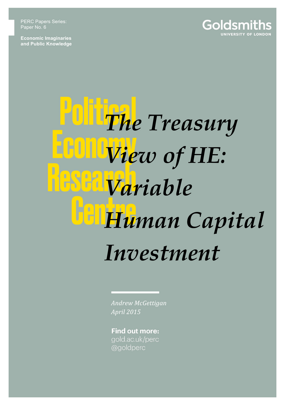PERC Papers Series: Paper No. 6

**Economic Imaginaries and Public Knowledge**



## *The Treasury View of HE:*   $\begin{matrix} 1 \\ 1 \end{matrix}$ *Variable Human Capital Investment*

*Andrew McGettigan April 2015*

**Find out more:** gold.ac.uk/perc @goldperc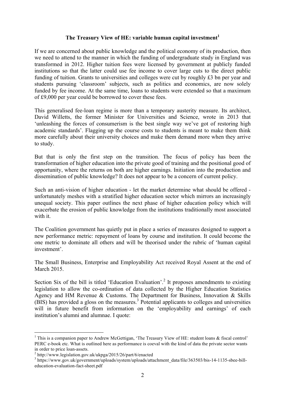## **The Treasury View of HE: variable human capital investment<sup>1</sup>**

If we are concerned about public knowledge and the political economy of its production, then we need to attend to the manner in which the funding of undergraduate study in England was transformed in 2012. Higher tuition fees were licensed by government at publicly funded institutions so that the latter could use fee income to cover large cuts to the direct public funding of tuition. Grants to universities and colleges were cut by roughly £3 bn per year and students pursuing 'classroom' subjects, such as politics and economics, are now solely funded by fee income. At the same time, loans to students were extended so that a maximum of £9,000 per year could be borrowed to cover these fees.

This generalised fee-loan regime is more than a temporary austerity measure. Its architect, David Willetts, the former Minister for Universities and Science, wrote in 2013 that 'unleashing the forces of consumerism is the best single way we've got of restoring high academic standards'. Flagging up the course costs to students is meant to make them think more carefully about their university choices and make them demand more when they arrive to study.

But that is only the first step on the transition. The focus of policy has been the transformation of higher education into the private good of training and the positional good of opportunity, where the returns on both are higher earnings. Initiation into the production and dissemination of public knowledge? It does not appear to be a concern of current policy.

Such an anti-vision of higher education - let the market determine what should be offered unfortunately meshes with a stratified higher education sector which mirrors an increasingly unequal society. This paper outlines the next phase of higher education policy which will exacerbate the erosion of public knowledge from the institutions traditionally most associated with it.

The Coalition government has quietly put in place a series of measures designed to support a new performance metric: repayment of loans by course and institution. It could become the one metric to dominate all others and will be theorised under the rubric of 'human capital investment'.

The Small Business, Enterprise and Employability Act received Royal Assent at the end of March 2015.

Section Six of the bill is titled 'Education Evaluation'.<sup>2</sup> It proposes amendments to existing legislation to allow the co-ordination of data collected by the Higher Education Statistics Agency and HM Revenue & Customs. The Department for Business, Innovation & Skills  $(BIS)$  has provided a gloss on the measures.<sup>3</sup> Potential applicants to colleges and universities will in future benefit from information on the 'employability and earnings' of each institution's alumni and alumnae. I quote:

<sup>&</sup>lt;sup>1</sup> This is a companion paper to Andrew McGettigan, 'The Treasury View of HE: student loans  $\&$  fiscal control' PERC e-book etc. What is outlined here as performance is coeval with the kind of data the private sector wants in order to price loan-assets. <sup>2</sup> http://www.legislation.gov.uk/ukpga/2015/26/part/6/enacted

<sup>&</sup>lt;sup>3</sup> https://www.gov.uk/government/uploads/system/uploads/attachment\_data/file/363503/bis-14-1135-sbee-billeducation-evaluation-fact-sheet.pdf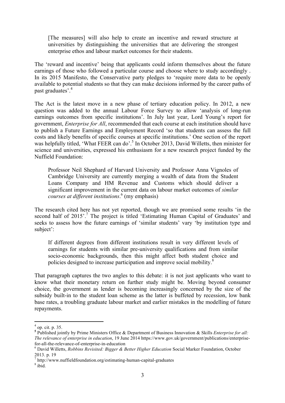[The measures] will also help to create an incentive and reward structure at universities by distinguishing the universities that are delivering the strongest enterprise ethos and labour market outcomes for their students.

The 'reward and incentive' being that applicants could inform themselves about the future earnings of those who followed a particular course and choose where to study accordingly . In its 2015 Manifesto, the Conservative party pledges to 'require more data to be openly available to potential students so that they can make decisions informed by the career paths of past graduates'. 4

The Act is the latest move in a new phase of tertiary education policy. In 2012, a new question was added to the annual Labour Force Survey to allow 'analysis of long-run earnings outcomes from specific institutions'. In July last year, Lord Young's report for government, *Enterprise for All*, recommended that each course at each institution should have to publish a Future Earnings and Employment Record 'so that students can assess the full costs and likely benefits of specific courses at specific institutions.' One section of the report was helpfully titled, 'What FEER can do'.<sup>5</sup> In October 2013, David Willetts, then minister for science and universities, expressed his enthusiasm for a new research project funded by the Nuffield Foundation:

Professor Neil Shephard of Harvard University and Professor Anna Vignoles of Cambridge University are currently merging a wealth of data from the Student Loans Company and HM Revenue and Customs which should deliver a significant improvement in the current data on labour market outcomes of *similar courses at different institutions*. <sup>6</sup> (my emphasis)

The research cited here has not yet reported, though we are promised some results 'in the second half of 2015'.<sup>7</sup> The project is titled 'Estimating Human Capital of Graduates' and seeks to assess how the future earnings of 'similar students' vary 'by institution type and subject':

If different degrees from different institutions result in very different levels of earnings for students with similar pre-university qualifications and from similar socio-economic backgrounds, then this might affect both student choice and policies designed to increase participation and improve social mobility.<sup>8</sup>

That paragraph captures the two angles to this debate: it is not just applicants who want to know what their monetary return on further study might be. Moving beyond consumer choice, the government as lender is becoming increasingly concerned by the size of the subsidy built-in to the student loan scheme as the latter is buffeted by recession, low bank base rates, a troubling graduate labour market and earlier mistakes in the modelling of future repayments.

 $<sup>4</sup>$  op. cit. p. 35.</sup>

**<sup>5</sup>** Published jointly by Prime Ministers Office & Department of Business Innovation & Skills *Enterprise for all: The relevance of enterprise in education*, 19 June 2014 https://www.gov.uk/government/publications/enterprisefor-all-the-relevance-of-enterprise-in-education <sup>6</sup> David Willetts, *Robbins Revisited: Bigger & Better Higher Education* Social Marker Foundation, October

<sup>2013.</sup> p. 19

 $\frac{7}{1}$  http://www.nuffieldfoundation.org/estimating-human-capital-graduates  $\frac{8}{1}$  ibid.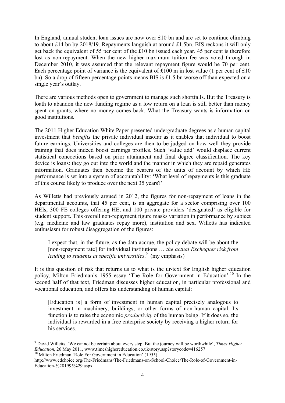In England, annual student loan issues are now over £10 bn and are set to continue climbing to about £14 bn by 2018/19. Repayments languish at around £1.5bn. BIS reckons it will only get back the equivalent of 55 per cent of the £10 bn issued each year. 45 per cent is therefore lost as non-repayment. When the new higher maximum tuition fee was voted through in December 2010, it was assumed that the relevant repayment figure would be 70 per cent. Each percentage point of variance is the equivalent of  $£100$  m in lost value (1 per cent of  $£10$ bn). So a drop of fifteen percentage points means BIS is £1.5 bn worse off than expected on a single year's outlay.

There are various methods open to government to manage such shortfalls. But the Treasury is loath to abandon the new funding regime as a low return on a loan is still better than money spent on grants, where no money comes back. What the Treasury wants is information on good institutions.

The 2011 Higher Education White Paper presented undergraduate degrees as a human capital investment that *benefits* the private individual insofar as it enables that individual to boost future earnings. Universities and colleges are then to be judged on how well they provide training that does indeed boost earnings profiles. Such 'value add' would displace current statistical concoctions based on prior attainment and final degree classification. The key device is loans: they go out into the world and the manner in which they are repaid generates information. Graduates then become the bearers of the units of account by which HE performance is set into a system of accountability: 'What level of repayments is this graduate of this course likely to produce over the next 35 years?'

As Willetts had previously argued in 2012, the figures for non-repayment of loans in the departmental accounts, that 45 per cent, is an aggregate for a sector comprising over 100 HEIs, 300 FE colleges offering HE, and 100 private providers 'designated' as eligible for student support. This overall non-repayment figure masks variation in performance by subject (e.g. medicine and law graduates repay more), institution and sex. Willetts has indicated enthusiasm for robust disaggregation of the figures:

I expect that, in the future, as the data accrue, the policy debate will be about the [non-repayment rate] for individual institutions … *the actual Exchequer risk from lending to students at specific universities*. 9 (my emphasis)

It is this question of risk that returns us to what is the ur-text for English higher education policy, Milton Friedman's 1955 essay 'The Role for Government in Education'.<sup>10</sup> In the second half of that text, Friedman discusses higher education, in particular professional and vocational education, and offers his understanding of human capital:

[Education is] a form of investment in human capital precisely analogous to investment in machinery, buildings, or other forms of non-human capital. Its function is to raise the economic *productivity* of the human being. If it does so, the individual is rewarded in a free enterprise society by receiving a higher return for his services.

<sup>9</sup> David Willetts, 'We cannot be certain about every step. But the journey will be worthwhile', *Times Higher Education*, 26 May 2011, www.timeshighereducation.co.uk/story.asp?storycode=416257<sup>10</sup> Milton Friedman 'Role For Government in Education' (1955)

http://www.edchoice.org/The-Friedmans/The-Friedmans-on-School-Choice/The-Role-of-Government-in-Education-%281995%29.aspx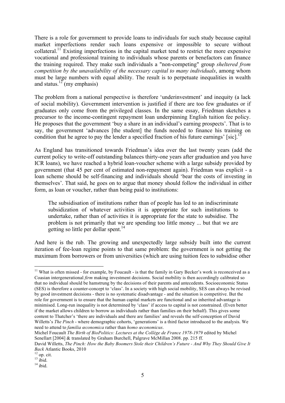There is a role for government to provide loans to individuals for such study because capital market imperfections render such loans expensive or impossible to secure without collateral.11 Existing imperfections in the capital market tend to restrict the more expensive vocational and professional training to individuals whose parents or benefactors can finance the training required. They make such individuals a "non-competing" group *sheltered from competition by the unavailability of the necessary capital to many individuals*, among whom must be large numbers with equal ability. The result is to perpetuate inequalities in wealth and status.<sup>12</sup> (my emphasis)

The problem from a national perspective is therefore 'underinvestment' and inequity (a lack of social mobility). Government intervention is justified if there are too few graduates or if graduates only come from the privileged classes. In the same essay, Friedman sketches a precursor to the income-contingent repayment loan underpinning English tuition fee policy. He proposes that the government 'buy a share in an individual's earning prospects'. That is to say, the government 'advances [the student] the funds needed to finance his training on condition that he agree to pay the lender a specified fraction of his future earnings' [sic].<sup>1</sup>

As England has transitioned towards Friedman's idea over the last twenty years (add the current policy to write-off outstanding balances thirty-one years after graduation and you have ICR loans), we have reached a hybrid loan-voucher scheme with a large subsidy provided by government (that 45 per cent of estimated non-repayment again). Friedman was explicit - a loan scheme should be self-financing and individuals should 'bear the costs of investing in themselves'. That said, he goes on to argue that money should follow the individual in either form, as loan or voucher, rather than being paid to institutions:

The subsidisation of institutions rather than of people has led to an indiscriminate subsidization of whatever activities it is appropriate for such institutions to undertake, rather than of activities it is appropriate for the state to subsidise. The problem is not primarily that we are spending too little money ... but that we are getting so little per dollar spent. $^{14}$ 

And here is the rub. The growing and unexpectedly large subsidy built into the current iteration of fee-loan regime points to that same problem: the government is not getting the maximum from borrowers or from universities (which are using tuition fees to subsidise other

l  $11$  What is often missed - for example, by Foucault - is that the family in Gary Becker's work is reconceived as a Coasian intergenerational *firm* making investment decisions. Social mobility is then accordingly calibrated so that no individual should be hamstrung by the decisions of their parents and antecedents. Socioeconomic Status (SES) is therefore a counter-concept to 'class'. In a society with high social mobility, SES can always be revised by good investment decisions - there is no systematic disadvantage - and the situation is competitive. But the role for government is to ensure that the human capital markets are functional and so inherited advantage is minimised. Long-run inequality is not determined by 'class' if access to capital is not constrained. (Even better if the market allows children to borrow as individuals rather than families on their behalf). This gives some content to Thatcher's 'there are individuals and there are families' and reveals the self-conception of David Willetts's *The Pinch* - where demographic cohorts, 'generations' is a third factor introduced to the analysis. We need to attend to *familia œconomica* rather than *homo œconomicus*.

Michel Foucault *The Birth of BioPolitics: Lectures at the Collège de France 1978-1979* edited by Michel Senellart [2004] & translated by Graham Burchell, Palgrave McMillan 2008. pp. 215 ff.

David Willetts, *The Pinch: How the Baby Boomers Stole their Children's Future - And Why They Should Give It Back* Atlantic Books, 2010<br><sup>12</sup> op. cit.<br><sup>13</sup> ibid.<br><sup>14</sup> ibid.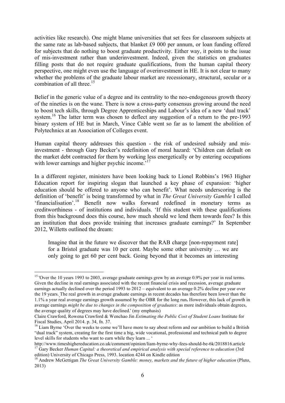activities like research). One might blame universities that set fees for classroom subjects at the same rate as lab-based subjects, that blanket £9 000 per annum, or loan funding offered for subjects that do nothing to boost graduate productivity. Either way, it points to the issue of mis-investment rather than underinvestment. Indeed, given the statistics on graduates filling posts that do not require graduate qualifications, from the human capital theory perspective, one might even use the language of overinvestment in HE. It is not clear to many whether the problems of the graduate labour market are recessionary, structural, secular or a combination of all three  $15$ 

Belief in the generic value of a degree and its centrality to the neo-endogenous growth theory of the nineties is on the wane. There is now a cross-party consensus growing around the need to boost tech skills, through Degree Apprenticeships and Labour's idea of a new 'dual track' system.<sup>16</sup> The latter term was chosen to deflect any suggestion of a return to the pre-1993 binary system of HE but in March, Vince Cable went so far as to lament the abolition of Polytechnics at an Association of Colleges event.

Human capital theory addresses this question - the risk of undesired subsidy and misinvestment - through Gary Becker's redefinition of moral hazard: 'Children can default on the market debt contracted for them by working less energetically or by entering occupations with lower earnings and higher psychic income.<sup>17</sup>

In a different register, ministers have been looking back to Lionel Robbins's 1963 Higher Education report for inspiring slogan that launched a key phase of expansion: 'higher education should be offered to anyone who can benefit'. What needs underscoring is the definition of 'benefit' is being transformed by what in *The Great University Gamble* I called 'financialisation'.<sup>18</sup> Benefit now walks forward redefined in monetary terms as creditworthiness - of institutions and individuals. 'If this student with these qualifications from this background does this course, how much should we lend them towards fees? Is this an institution that does provide training that increases graduate earnings?' In September 2012, Willetts outlined the dream:

Imagine that in the future we discover that the RAB charge [non-repayment rate] for a Bristol graduate was 10 per cent. Maybe some other university … we are only going to get 60 per cent back. Going beyond that it becomes an interesting

l <sup>15</sup> 'Over the 10 years 1993 to 2003, average graduate earnings grew by an average 0.9% per year in real terms. Given the decline in real earnings associated with the recent financial crisis and recession, average graduate earnings actually declined over the period 1993 to 2012 – equivalent to an average 0.2% decline per year over the 19 years. The real growth in average graduate earnings in recent decades has therefore been lower than the 1.1% a year real average earnings growth assumed by the OBR for the long run**.** However, this lack of growth in average earnings *might be due to changes in the composition of graduates*: as more individuals obtain degrees, the average quality of degrees may have declined.' (my emphasis)

Claire Crawford, Rowena Crawford & Wenchao Jin *Estimating the Public Cost of Student Loans* Institute for Fiscal Studies, April 2014. p. 34, fn. 37.

<sup>&</sup>lt;sup>16</sup> Liam Byrne 'Over the weeks to come we'll have more to say about reform and our ambition to build a British "dual track" system, creating for the first time a big, wide vocational, professional and technical path to degree level skills for students who want to earn while they learn ... '

http://www.timeshighereducation.co.uk/comment/opinion/liam-byrne-why-fees-should-be-6k/2018816.article 17 Gary Becker *Human Capital: a theoretical and empirical analysis with special reference to education* (3rd edition) University of Chicago Press, 1993. location 4244 on Kindle edition

<sup>&</sup>lt;sup>18</sup> Andrew McGettigan *The Great University Gamble: money, markets and the future of higher education* (Pluto, 2013)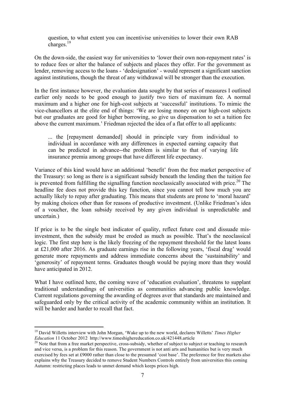question, to what extent you can incentivise universities to lower their own RAB charges.<sup>19</sup>

On the down-side, the easiest way for universities to 'lower their own non-repayment rates' is to reduce fees or alter the balance of subjects and places they offer. For the government as lender, removing access to the loans - 'dedesignation' - would represent a significant sanction against institutions, though the threat of any withdrawal will be stronger than the execution.

In the first instance however, the evaluation data sought by that series of measures I outlined earlier only needs to be good enough to justify two tiers of maximum fee. A normal maximum and a higher one for high-cost subjects at 'successful' institutions. To mimic the vice-chancellors at the elite end of things: 'We are losing money on our high-cost subjects but our graduates are good for higher borrowing, so give us dispensation to set a tuition fee above the current maximum.' Friedman rejected the idea of a flat offer to all applicants:

... the [repayment demanded] should in principle vary from individual to individual in accordance with any differences in expected earning capacity that can be predicted in advance--the problem is similar to that of varying life insurance premia among groups that have different life expectancy.

Variance of this kind would have an additional 'benefit' from the free market perspective of the Treasury: so long as there is a significant subsidy beneath the lending then the tuition fee is prevented from fulfilling the signalling function neoclassically associated with price.<sup>20</sup> The headline fee does not provide this key function, since you cannot tell how much you are actually likely to repay after graduating. This means that students are prone to 'moral hazard' by making choices other than for reasons of productive investment. (Unlike Friedman's idea of a voucher, the loan subsidy received by any given individual is unpredictable and uncertain.)

If price is to be the single best indicator of quality, reflect future cost and dissuade misinvestment, then the subsidy must be eroded as much as possible. That's the neoclassical logic. The first step here is the likely freezing of the repayment threshold for the latest loans at £21,000 after 2016. As graduate earnings rise in the following years, 'fiscal drag' would generate more repayments and address immediate concerns about the 'sustainability' and 'generosity' of repayment terms. Graduates though would be paying more than they would have anticipated in 2012.

What I have outlined here, the coming wave of 'education evaluation', threatens to supplant traditional understandings of universities as communities advancing public knowledge. Current regulations governing the awarding of degrees aver that standards are maintained and safeguarded only by the critical activity of the academic community within an institution. It will be harder and harder to recall that fact.

<sup>&</sup>lt;sup>19</sup> David Willetts interview with John Morgan, 'Wake up to the new world, declares Willetts' *Times Higher Education* 11 October 2012 http://www.timeshighereducation.co.uk/421448.article

<sup>&</sup>lt;sup>20</sup> Note that from a free market perspective, cross-subsidy, whether of subject to subject or teaching to research and vice versa, is a problem for this reason. The government is not anti arts and humanities but is very much exercised by fees set at £9000 rather than close to the presumed 'cost base'. The preference for free markets also explains why the Treasury decided to remove Student Numbers Controls entirely from universities this coming Autumn: restricting places leads to unmet demand which keeps prices high.